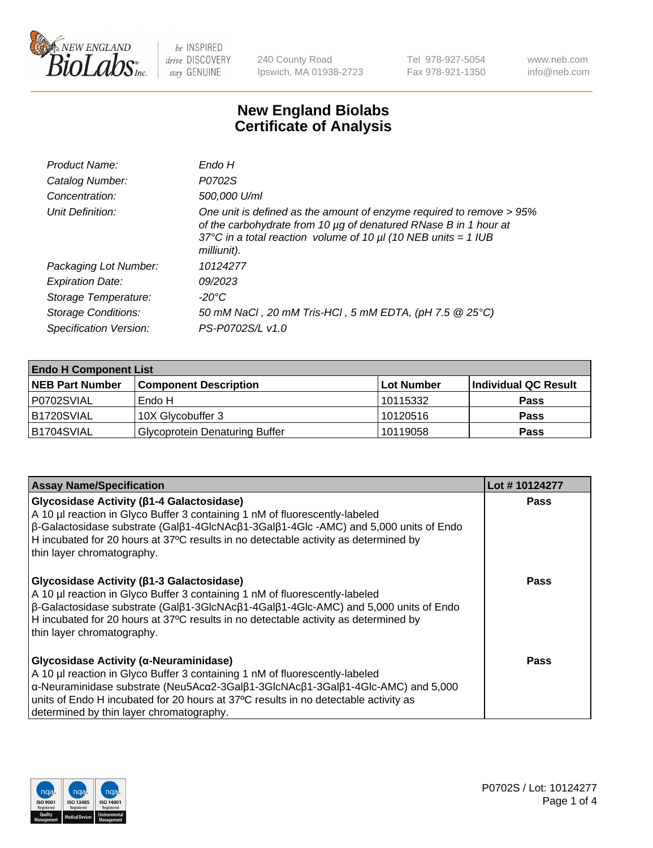

240 County Road Ipswich, MA 01938-2723 Tel 978-927-5054 Fax 978-921-1350 www.neb.com info@neb.com

## **New England Biolabs Certificate of Analysis**

| Endo H                                                                                                                                                                                                                         |
|--------------------------------------------------------------------------------------------------------------------------------------------------------------------------------------------------------------------------------|
| P0702S                                                                                                                                                                                                                         |
| 500,000 U/ml                                                                                                                                                                                                                   |
| One unit is defined as the amount of enzyme required to remove > 95%<br>of the carbohydrate from 10 µg of denatured RNase B in 1 hour at<br>37°C in a total reaction volume of 10 $\mu$ I (10 NEB units = 1 IUB<br>milliunit). |
| 10124277                                                                                                                                                                                                                       |
| 09/2023                                                                                                                                                                                                                        |
| -20°C                                                                                                                                                                                                                          |
| 50 mM NaCl, 20 mM Tris-HCl, 5 mM EDTA, (pH 7.5 @ 25°C)                                                                                                                                                                         |
| PS-P0702S/L v1.0                                                                                                                                                                                                               |
|                                                                                                                                                                                                                                |

| <b>Endo H Component List</b> |                                       |             |                      |  |
|------------------------------|---------------------------------------|-------------|----------------------|--|
| <b>NEB Part Number</b>       | <b>Component Description</b>          | ∣Lot Number | Individual QC Result |  |
| P0702SVIAL                   | Endo H                                | 10115332    | <b>Pass</b>          |  |
| <b>B1720SVIAL</b>            | 10X Glycobuffer 3                     | 10120516    | <b>Pass</b>          |  |
| B1704SVIAL                   | <b>Glycoprotein Denaturing Buffer</b> | 10119058    | <b>Pass</b>          |  |

| <b>Assay Name/Specification</b>                                                                                                                                                                                                                                                                                                                                                      | Lot #10124277 |
|--------------------------------------------------------------------------------------------------------------------------------------------------------------------------------------------------------------------------------------------------------------------------------------------------------------------------------------------------------------------------------------|---------------|
| Glycosidase Activity (ß1-4 Galactosidase)<br>A 10 µl reaction in Glyco Buffer 3 containing 1 nM of fluorescently-labeled<br>β-Galactosidase substrate (Galβ1-4GlcNAcβ1-3Galβ1-4Glc -AMC) and 5,000 units of Endo<br>H incubated for 20 hours at 37°C results in no detectable activity as determined by<br>thin layer chromatography.                                                | <b>Pass</b>   |
| Glycosidase Activity (β1-3 Galactosidase)<br>A 10 µl reaction in Glyco Buffer 3 containing 1 nM of fluorescently-labeled<br>$\beta$ -Galactosidase substrate (Gal $\beta$ 1-3GlcNAc $\beta$ 1-4Gal $\beta$ 1-4Glc-AMC) and 5,000 units of Endo<br>H incubated for 20 hours at 37°C results in no detectable activity as determined by<br>thin layer chromatography.                  | Pass          |
| Glycosidase Activity (α-Neuraminidase)<br>A 10 µl reaction in Glyco Buffer 3 containing 1 nM of fluorescently-labeled<br>$\alpha$ -Neuraminidase substrate (Neu5Ac $\alpha$ 2-3Gal $\beta$ 1-3GlcNAc $\beta$ 1-3Gal $\beta$ 1-4Glc-AMC) and 5,000<br>units of Endo H incubated for 20 hours at 37°C results in no detectable activity as<br>determined by thin layer chromatography. | Pass          |

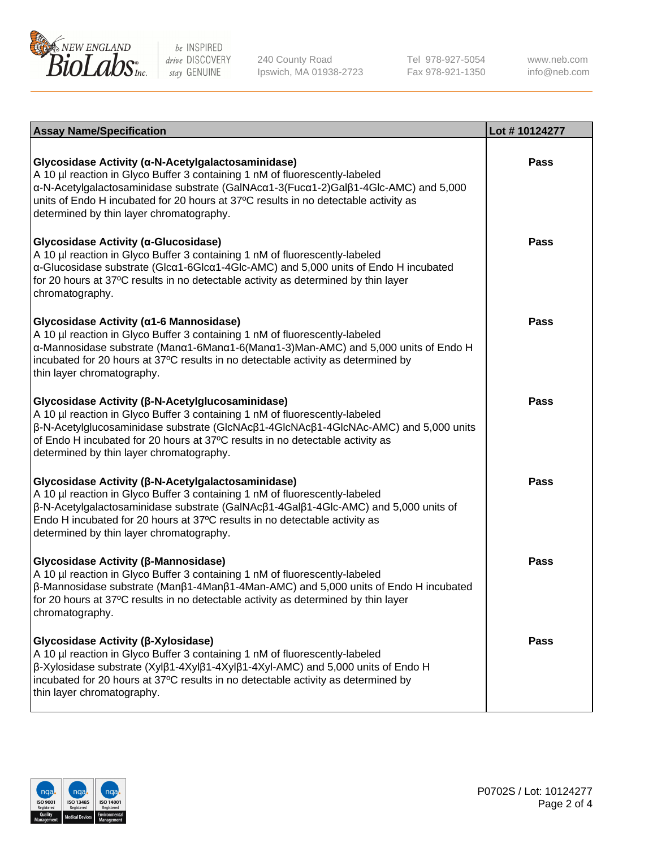

240 County Road Ipswich, MA 01938-2723 Tel 978-927-5054 Fax 978-921-1350

www.neb.com info@neb.com

| <b>Assay Name/Specification</b>                                                                                                                                                                                                                                                                                                                             | Lot #10124277 |
|-------------------------------------------------------------------------------------------------------------------------------------------------------------------------------------------------------------------------------------------------------------------------------------------------------------------------------------------------------------|---------------|
| Glycosidase Activity (α-N-Acetylgalactosaminidase)<br>A 10 µl reaction in Glyco Buffer 3 containing 1 nM of fluorescently-labeled<br>α-N-Acetylgalactosaminidase substrate (GalNAcα1-3(Fucα1-2)Galβ1-4Glc-AMC) and 5,000<br>units of Endo H incubated for 20 hours at 37°C results in no detectable activity as<br>determined by thin layer chromatography. | Pass          |
| Glycosidase Activity (α-Glucosidase)<br>A 10 µl reaction in Glyco Buffer 3 containing 1 nM of fluorescently-labeled<br>α-Glucosidase substrate (Glcα1-6Glcα1-4Glc-AMC) and 5,000 units of Endo H incubated<br>for 20 hours at 37°C results in no detectable activity as determined by thin layer<br>chromatography.                                         | <b>Pass</b>   |
| Glycosidase Activity (α1-6 Mannosidase)<br>A 10 µl reaction in Glyco Buffer 3 containing 1 nM of fluorescently-labeled<br>α-Mannosidase substrate (Μanα1-6Μanα1-6(Μanα1-3)Man-AMC) and 5,000 units of Endo H<br>incubated for 20 hours at 37°C results in no detectable activity as determined by<br>thin layer chromatography.                             | Pass          |
| Glycosidase Activity (β-N-Acetylglucosaminidase)<br>A 10 µl reaction in Glyco Buffer 3 containing 1 nM of fluorescently-labeled<br>β-N-Acetylglucosaminidase substrate (GlcNAcβ1-4GlcNAcβ1-4GlcNAc-AMC) and 5,000 units<br>of Endo H incubated for 20 hours at 37°C results in no detectable activity as<br>determined by thin layer chromatography.        | <b>Pass</b>   |
| Glycosidase Activity (β-N-Acetylgalactosaminidase)<br>A 10 µl reaction in Glyco Buffer 3 containing 1 nM of fluorescently-labeled<br>β-N-Acetylgalactosaminidase substrate (GalNAcβ1-4Galβ1-4Glc-AMC) and 5,000 units of<br>Endo H incubated for 20 hours at 37°C results in no detectable activity as<br>determined by thin layer chromatography.          | <b>Pass</b>   |
| Glycosidase Activity (β-Mannosidase)<br>A 10 µl reaction in Glyco Buffer 3 containing 1 nM of fluorescently-labeled<br>$\beta$ -Mannosidase substrate (Man $\beta$ 1-4Man $\beta$ 1-4Man-AMC) and 5,000 units of Endo H incubated<br>for 20 hours at 37°C results in no detectable activity as determined by thin layer<br>chromatography.                  | <b>Pass</b>   |
| Glycosidase Activity (β-Xylosidase)<br>A 10 µl reaction in Glyco Buffer 3 containing 1 nM of fluorescently-labeled<br>$\beta$ -Xylosidase substrate (Xyl $\beta$ 1-4Xyl $\beta$ 1-4Xyl $\beta$ 1-4Xyl-AMC) and 5,000 units of Endo H<br>incubated for 20 hours at 37°C results in no detectable activity as determined by<br>thin layer chromatography.     | <b>Pass</b>   |

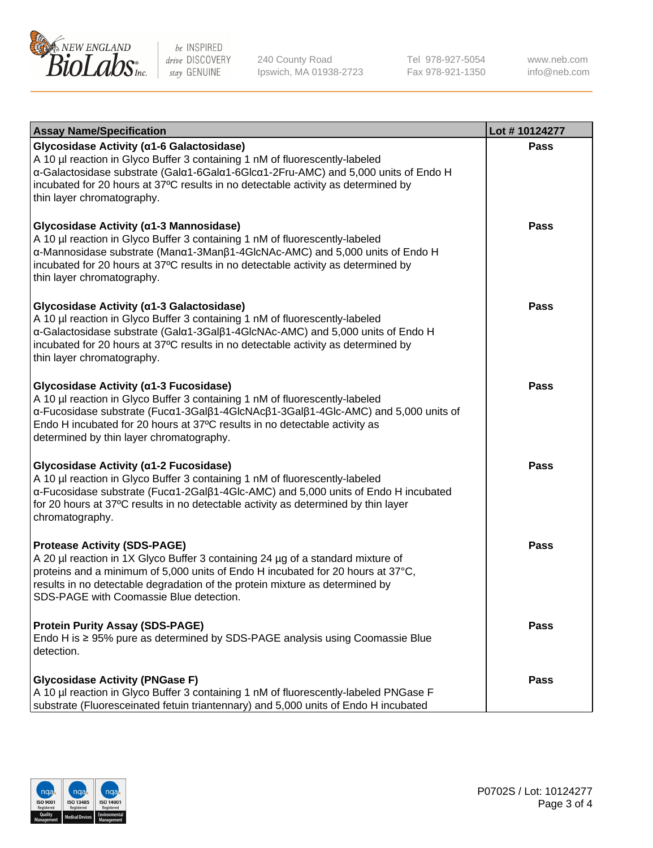

240 County Road Ipswich, MA 01938-2723 Tel 978-927-5054 Fax 978-921-1350

www.neb.com info@neb.com

| <b>Assay Name/Specification</b>                                                                                                                                                                                                                                                                                                                    | Lot #10124277 |
|----------------------------------------------------------------------------------------------------------------------------------------------------------------------------------------------------------------------------------------------------------------------------------------------------------------------------------------------------|---------------|
| Glycosidase Activity (α1-6 Galactosidase)<br>A 10 µl reaction in Glyco Buffer 3 containing 1 nM of fluorescently-labeled<br>α-Galactosidase substrate (Galα1-6Galα1-6Glcα1-2Fru-AMC) and 5,000 units of Endo H<br>incubated for 20 hours at 37°C results in no detectable activity as determined by<br>thin layer chromatography.                  | <b>Pass</b>   |
| Glycosidase Activity (α1-3 Mannosidase)<br>A 10 µl reaction in Glyco Buffer 3 containing 1 nM of fluorescently-labeled<br>$\alpha$ -Mannosidase substrate (Man $\alpha$ 1-3Man $\beta$ 1-4GlcNAc-AMC) and 5,000 units of Endo H<br>incubated for 20 hours at 37°C results in no detectable activity as determined by<br>thin layer chromatography. | <b>Pass</b>   |
| Glycosidase Activity (α1-3 Galactosidase)<br>A 10 µl reaction in Glyco Buffer 3 containing 1 nM of fluorescently-labeled<br>α-Galactosidase substrate (Galα1-3Galβ1-4GlcNAc-AMC) and 5,000 units of Endo H<br>incubated for 20 hours at 37°C results in no detectable activity as determined by<br>thin layer chromatography.                      | <b>Pass</b>   |
| Glycosidase Activity (α1-3 Fucosidase)<br>A 10 µl reaction in Glyco Buffer 3 containing 1 nM of fluorescently-labeled<br>α-Fucosidase substrate (Fucα1-3Galβ1-4GlcNAcβ1-3Galβ1-4Glc-AMC) and 5,000 units of<br>Endo H incubated for 20 hours at 37°C results in no detectable activity as<br>determined by thin layer chromatography.              | <b>Pass</b>   |
| Glycosidase Activity (α1-2 Fucosidase)<br>A 10 µl reaction in Glyco Buffer 3 containing 1 nM of fluorescently-labeled<br>$\alpha$ -Fucosidase substrate (Fuc $\alpha$ 1-2Gal $\beta$ 1-4Glc-AMC) and 5,000 units of Endo H incubated<br>for 20 hours at 37°C results in no detectable activity as determined by thin layer<br>chromatography.      | <b>Pass</b>   |
| <b>Protease Activity (SDS-PAGE)</b><br>A 20 µl reaction in 1X Glyco Buffer 3 containing 24 µg of a standard mixture of<br>proteins and a minimum of 5,000 units of Endo H incubated for 20 hours at 37°C,<br>results in no detectable degradation of the protein mixture as determined by<br>SDS-PAGE with Coomassie Blue detection.               | <b>Pass</b>   |
| <b>Protein Purity Assay (SDS-PAGE)</b><br>Endo H is $\geq$ 95% pure as determined by SDS-PAGE analysis using Coomassie Blue<br>detection.                                                                                                                                                                                                          | Pass          |
| <b>Glycosidase Activity (PNGase F)</b><br>A 10 µl reaction in Glyco Buffer 3 containing 1 nM of fluorescently-labeled PNGase F<br>substrate (Fluoresceinated fetuin triantennary) and 5,000 units of Endo H incubated                                                                                                                              | Pass          |